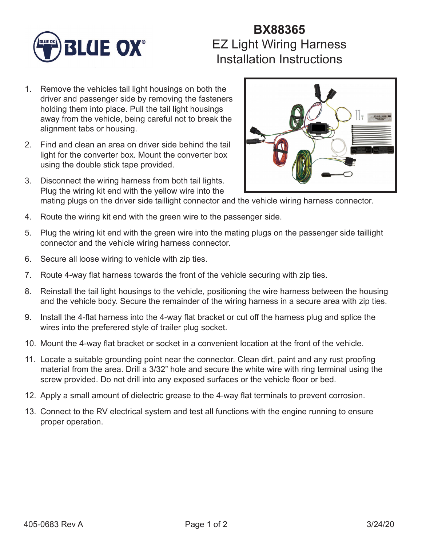

## **BX88365** EZ Light Wiring Harness Installation Instructions

- 1. Remove the vehicles tail light housings on both the driver and passenger side by removing the fasteners holding them into place. Pull the tail light housings away from the vehicle, being careful not to break the alignment tabs or housing.
- 2. Find and clean an area on driver side behind the tail light for the converter box. Mount the converter box using the double stick tape provided.
- 3. Disconnect the wiring harness from both tail lights. Plug the wiring kit end with the yellow wire into the mating plugs on the driver side taillight connector and the vehicle wiring harness connector.
- 4. Route the wiring kit end with the green wire to the passenger side.
- 5. Plug the wiring kit end with the green wire into the mating plugs on the passenger side taillight connector and the vehicle wiring harness connector.
- 6. Secure all loose wiring to vehicle with zip ties.
- 7. Route 4-way flat harness towards the front of the vehicle securing with zip ties.
- 8. Reinstall the tail light housings to the vehicle, positioning the wire harness between the housing and the vehicle body. Secure the remainder of the wiring harness in a secure area with zip ties.
- 9. Install the 4-flat harness into the 4-way flat bracket or cut off the harness plug and splice the wires into the preferered style of trailer plug socket.
- 10. Mount the 4-way flat bracket or socket in a convenient location at the front of the vehicle.
- 11. Locate a suitable grounding point near the connector. Clean dirt, paint and any rust proofing material from the area. Drill a 3/32" hole and secure the white wire with ring terminal using the screw provided. Do not drill into any exposed surfaces or the vehicle floor or bed.
- 12. Apply a small amount of dielectric grease to the 4-way flat terminals to prevent corrosion.
- 13. Connect to the RV electrical system and test all functions with the engine running to ensure proper operation.